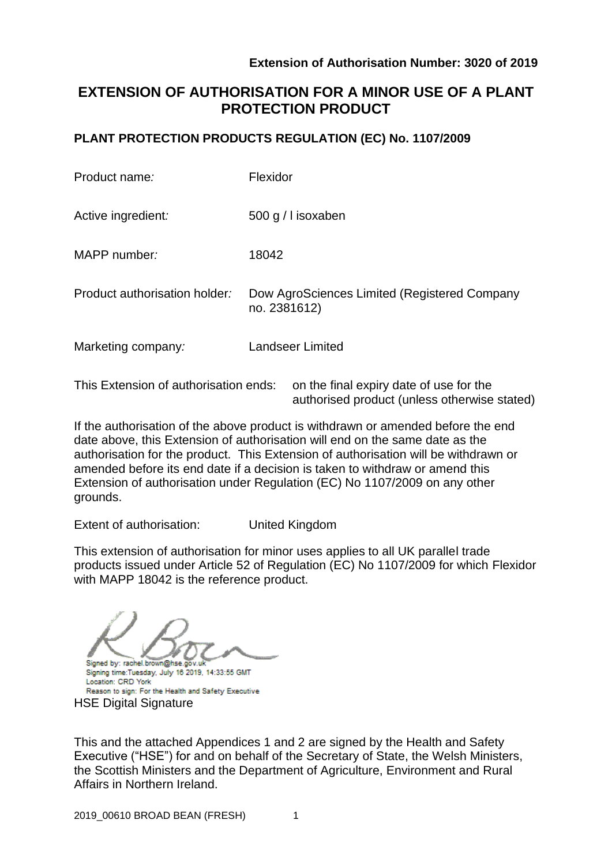# **EXTENSION OF AUTHORISATION FOR A MINOR USE OF A PLANT PROTECTION PRODUCT**

# **PLANT PROTECTION PRODUCTS REGULATION (EC) No. 1107/2009**

| Product name:                 | Flexidor                                                     |
|-------------------------------|--------------------------------------------------------------|
| Active ingredient:            | 500 g / I isoxaben                                           |
| MAPP number:                  | 18042                                                        |
| Product authorisation holder: | Dow AgroSciences Limited (Registered Company<br>no. 2381612) |
| Marketing company:            | <b>Landseer Limited</b>                                      |
|                               |                                                              |

This Extension of authorisation ends: on the final expiry date of use for the authorised product (unless otherwise stated)

If the authorisation of the above product is withdrawn or amended before the end date above, this Extension of authorisation will end on the same date as the authorisation for the product. This Extension of authorisation will be withdrawn or amended before its end date if a decision is taken to withdraw or amend this Extension of authorisation under Regulation (EC) No 1107/2009 on any other grounds.

Extent of authorisation: United Kingdom

This extension of authorisation for minor uses applies to all UK parallel trade products issued under Article 52 of Regulation (EC) No 1107/2009 for which Flexidor with MAPP 18042 is the reference product.

Signed by: rachel.brown@hse.gov.u

Signing time:Tuesday, July 16 2019, 14:33:55 GMT Location: CRD York Reason to sign: For the Health and Safety Executive **HSE Digital Signature** 

This and the attached Appendices 1 and 2 are signed by the Health and Safety Executive ("HSE") for and on behalf of the Secretary of State, the Welsh Ministers, the Scottish Ministers and the Department of Agriculture, Environment and Rural Affairs in Northern Ireland.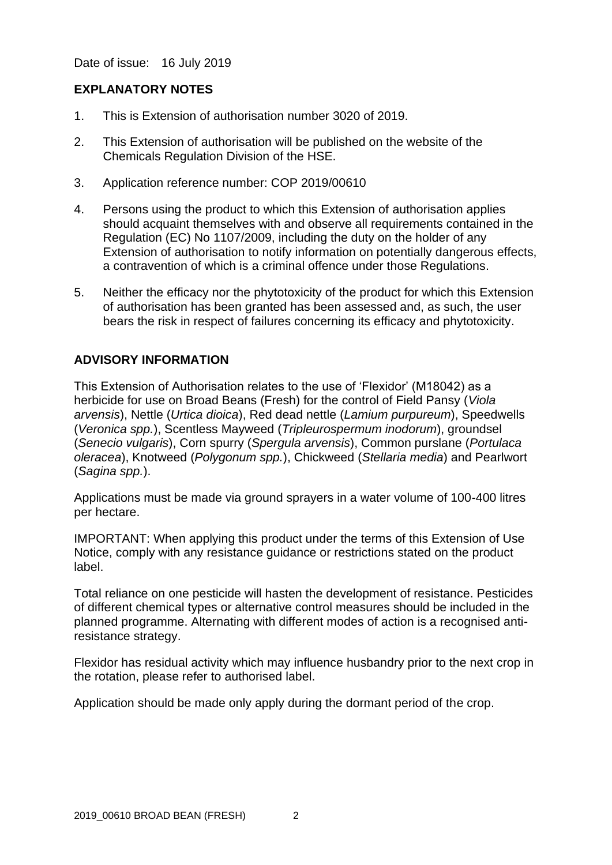Date of issue: 16 July 2019

### **EXPLANATORY NOTES**

- 1. This is Extension of authorisation number 3020 of 2019.
- 2. This Extension of authorisation will be published on the website of the Chemicals Regulation Division of the HSE.
- 3. Application reference number: COP 2019/00610
- 4. Persons using the product to which this Extension of authorisation applies should acquaint themselves with and observe all requirements contained in the Regulation (EC) No 1107/2009, including the duty on the holder of any Extension of authorisation to notify information on potentially dangerous effects, a contravention of which is a criminal offence under those Regulations.
- 5. Neither the efficacy nor the phytotoxicity of the product for which this Extension of authorisation has been granted has been assessed and, as such, the user bears the risk in respect of failures concerning its efficacy and phytotoxicity.

# **ADVISORY INFORMATION**

This Extension of Authorisation relates to the use of 'Flexidor' (M18042) as a herbicide for use on Broad Beans (Fresh) for the control of Field Pansy (*Viola arvensis*), Nettle (*Urtica dioica*), Red dead nettle (*Lamium purpureum*), Speedwells (*Veronica spp.*), Scentless Mayweed (*Tripleurospermum inodorum*), groundsel (*Senecio vulgaris*), Corn spurry (*Spergula arvensis*), Common purslane (*Portulaca oleracea*), Knotweed (*Polygonum spp.*), Chickweed (*Stellaria media*) and Pearlwort (*Sagina spp.*).

Applications must be made via ground sprayers in a water volume of 100-400 litres per hectare.

IMPORTANT: When applying this product under the terms of this Extension of Use Notice, comply with any resistance guidance or restrictions stated on the product label.

Total reliance on one pesticide will hasten the development of resistance. Pesticides of different chemical types or alternative control measures should be included in the planned programme. Alternating with different modes of action is a recognised antiresistance strategy.

Flexidor has residual activity which may influence husbandry prior to the next crop in the rotation, please refer to authorised label.

Application should be made only apply during the dormant period of the crop.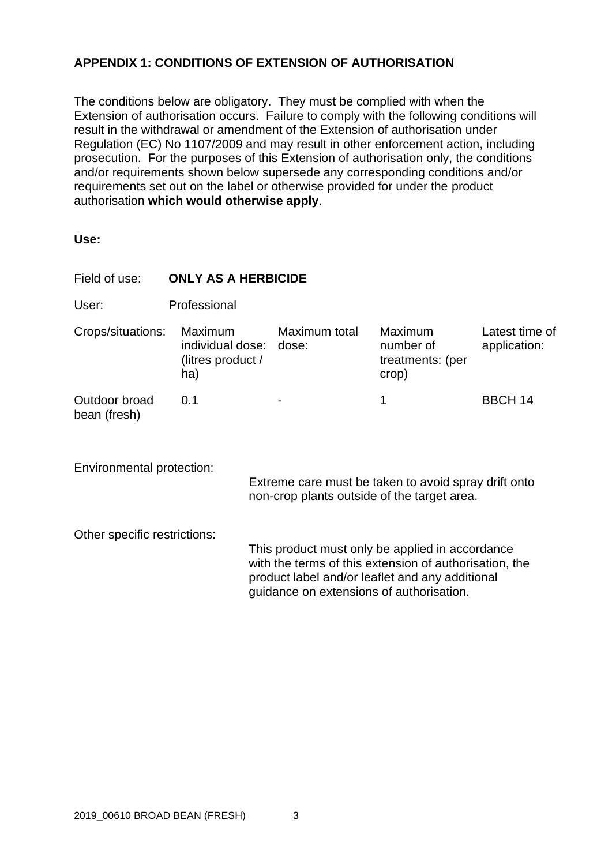# **APPENDIX 1: CONDITIONS OF EXTENSION OF AUTHORISATION**

The conditions below are obligatory. They must be complied with when the Extension of authorisation occurs. Failure to comply with the following conditions will result in the withdrawal or amendment of the Extension of authorisation under Regulation (EC) No 1107/2009 and may result in other enforcement action, including prosecution. For the purposes of this Extension of authorisation only, the conditions and/or requirements shown below supersede any corresponding conditions and/or requirements set out on the label or otherwise provided for under the product authorisation **which would otherwise apply**.

| ×<br>۰.<br>×<br>w<br>۰.<br>M.<br>۰.<br>w<br>۰. |
|------------------------------------------------|
|------------------------------------------------|

| Field of use:                 | <b>ONLY AS A HERBICIDE</b>                                    |  |                                          |                                                                                                                                                              |                                |  |  |
|-------------------------------|---------------------------------------------------------------|--|------------------------------------------|--------------------------------------------------------------------------------------------------------------------------------------------------------------|--------------------------------|--|--|
| User:                         | Professional                                                  |  |                                          |                                                                                                                                                              |                                |  |  |
| Crops/situations:             | Maximum<br>individual dose: dose:<br>(litres product /<br>ha) |  | Maximum total                            | <b>Maximum</b><br>number of<br>treatments: (per<br>crop)                                                                                                     | Latest time of<br>application: |  |  |
| Outdoor broad<br>bean (fresh) | 0.1                                                           |  |                                          | 1                                                                                                                                                            | <b>BBCH 14</b>                 |  |  |
| Environmental protection:     |                                                               |  |                                          | Extreme care must be taken to avoid spray drift onto<br>non-crop plants outside of the target area.                                                          |                                |  |  |
| Other specific restrictions:  |                                                               |  | guidance on extensions of authorisation. | This product must only be applied in accordance<br>with the terms of this extension of authorisation, the<br>product label and/or leaflet and any additional |                                |  |  |